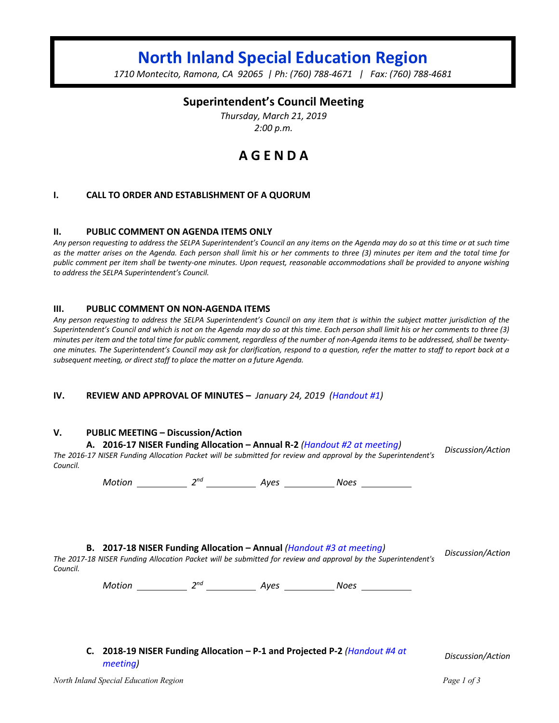# **North Inland Special Education Region**

*1710 Montecito, Ramona, CA 92065 | Ph: (760) 788-4671 | Fax: (760) 788-4681*

## **Superintendent's Council Meeting**

*Thursday, March 21, 2019 2:00 p.m.*

## **A G E N D A**

#### **I. CALL TO ORDER AND ESTABLISHMENT OF A QUORUM**

#### **II. PUBLIC COMMENT ON AGENDA ITEMS ONLY**

*Any person requesting to address the SELPA Superintendent's Council an any items on the Agenda may do so at this time or at such time as the matter arises on the Agenda. Each person shall limit his or her comments to three (3) minutes per item and the total time for public comment per item shall be twenty-one minutes. Upon request, reasonable accommodations shall be provided to anyone wishing to address the SELPA Superintendent's Council.*

#### **III. PUBLIC COMMENT ON NON-AGENDA ITEMS**

*Any person requesting to address the SELPA Superintendent's Council on any item that is within the subject matter jurisdiction of the Superintendent's Council and which is not on the Agenda may do so at this time. Each person shall limit his or her comments to three (3) minutes per item and the total time for public comment, regardless of the number of non-Agenda items to be addressed, shall be twentyone minutes. The Superintendent's Council may ask for clarification, respond to a question, refer the matter to staff to report back at a subsequent meeting, or direct staff to place the matter on a future Agenda.*

#### **IV. REVIEW AND APPROVAL OF MINUTES –** *January 24, 2019 (Handout #1)*

#### **V. PUBLIC MEETING – Discussion/Action**

#### **A. 2016-17 NISER Funding Allocation – Annual R-2** *(Handout #2 at meeting)*

*The 2016-17 NISER Funding Allocation Packet will be submitted for review and approval by the Superintendent's Council.*

*Motion 2nd Ayes Noes* 

#### **B. 2017-18 NISER Funding Allocation – Annual** *(Handout #3 at meeting)*

*The 2017-18 NISER Funding Allocation Packet will be submitted for review and approval by the Superintendent's Council.*

*Motion* 2<sup>nd</sup> 2<sup>nd</sup> 4yes 2008 Noes 2008

**C. 2018-19 NISER Funding Allocation – P-1 and Projected P-2** *(Handout #4 at meeting) Discussion/Action*

*Discussion/Action*

*Discussion/Action*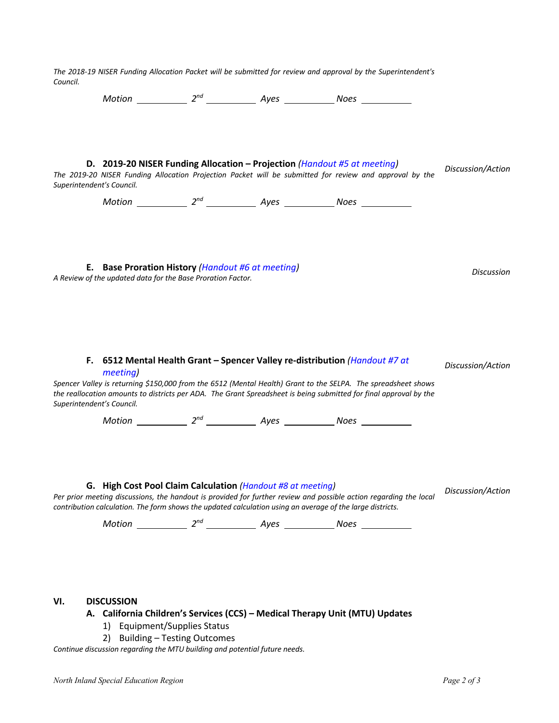|     | Superintendent's Council.                                                                                        |                                                                | D. 2019-20 NISER Funding Allocation - Projection (Handout #5 at meeting)<br>The 2019-20 NISER Funding Allocation Projection Packet will be submitted for review and approval by the                                                                                                                               | Discussion/Action |
|-----|------------------------------------------------------------------------------------------------------------------|----------------------------------------------------------------|-------------------------------------------------------------------------------------------------------------------------------------------------------------------------------------------------------------------------------------------------------------------------------------------------------------------|-------------------|
|     |                                                                                                                  |                                                                | Motion ____________ $2^{nd}$ _______________ Ayes ______________ Noes ___________                                                                                                                                                                                                                                 |                   |
|     | E. Base Proration History (Handout #6 at meeting)<br>A Review of the updated data for the Base Proration Factor. |                                                                |                                                                                                                                                                                                                                                                                                                   | <b>Discussion</b> |
|     | meeting)<br>Superintendent's Council.                                                                            |                                                                | F. 6512 Mental Health Grant - Spencer Valley re-distribution (Handout #7 at<br>Spencer Valley is returning \$150,000 from the 6512 (Mental Health) Grant to the SELPA. The spreadsheet shows<br>the reallocation amounts to districts per ADA. The Grant Spreadsheet is being submitted for final approval by the | Discussion/Action |
|     |                                                                                                                  |                                                                |                                                                                                                                                                                                                                                                                                                   |                   |
|     | G. High Cost Pool Claim Calculation (Handout #8 at meeting)                                                      |                                                                | Per prior meeting discussions, the handout is provided for further review and possible action regarding the local<br>contribution calculation. The form shows the updated calculation using an average of the large districts.                                                                                    | Discussion/Action |
| VI. | <b>DISCUSSION</b>                                                                                                | 1) Equipment/Supplies Status<br>2) Building - Testing Outcomes | A. California Children's Services (CCS) - Medical Therapy Unit (MTU) Updates                                                                                                                                                                                                                                      |                   |
|     | Continue discussion regarding the MTU building and potential future needs.                                       |                                                                |                                                                                                                                                                                                                                                                                                                   |                   |

*The 2018-19 NISER Funding Allocation Packet will be submitted for review and approval by the Superintendent's* 

*Council.*